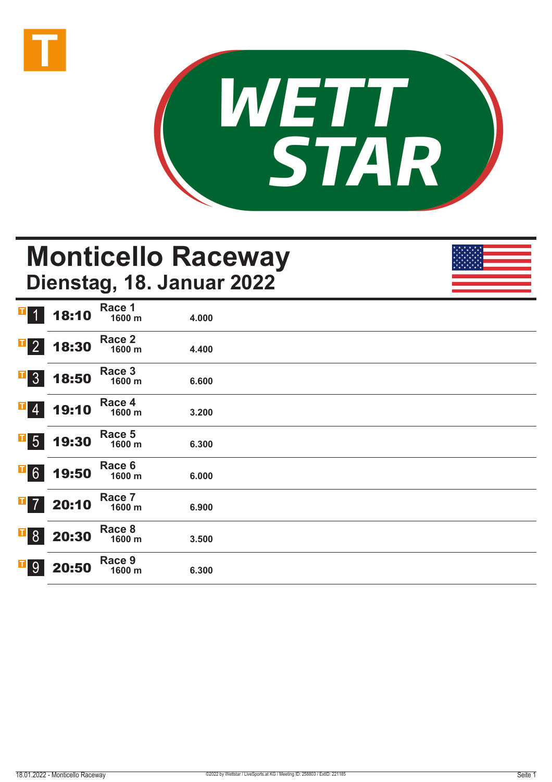



## **Monticello Raceway Dienstag, 18. Januar 2022**

| $\mathbf{T}$<br>$\vert$ 1      | 18:10 | Race 1<br>1600 m | 4.000 |  |  |
|--------------------------------|-------|------------------|-------|--|--|
| $\overline{1}$ 2               | 18:30 | Race 2<br>1600 m | 4.400 |  |  |
| $\mathbf{I}$<br>3 <sup>1</sup> | 18:50 | Race 3<br>1600 m | 6.600 |  |  |
| $ {\bf T} $<br>$\vert 4 \vert$ | 19:10 | Race 4<br>1600 m | 3.200 |  |  |
| $\overline{1}$ 5               | 19:30 | Race 5<br>1600 m | 6.300 |  |  |
| $\overline{1}6$                | 19:50 | Race 6<br>1600 m | 6.000 |  |  |
| $\overline{1}$ 7               | 20:10 | Race 7<br>1600 m | 6.900 |  |  |
| $\overline{1}$ 8               | 20:30 | Race 8<br>1600 m | 3.500 |  |  |
| П<br>9                         | 20:50 | Race 9<br>1600 m | 6.300 |  |  |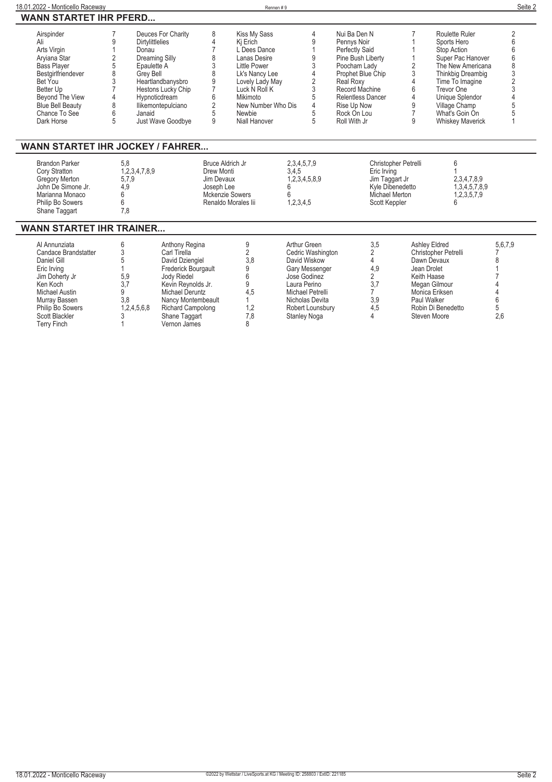| 18.01.2022 - Monticello Raceway                                                                                                                                                                   |                                                                                                                           |                                                                                                                                                                                                  |                                                                                             |                                                                                                                                                                                             | Rennen#9                                    |                                                                                                                                                                |                                                                                                                                                                                                           |                                                                                                              |                                                                                                                                                                                                                               | Seite 2                |
|---------------------------------------------------------------------------------------------------------------------------------------------------------------------------------------------------|---------------------------------------------------------------------------------------------------------------------------|--------------------------------------------------------------------------------------------------------------------------------------------------------------------------------------------------|---------------------------------------------------------------------------------------------|---------------------------------------------------------------------------------------------------------------------------------------------------------------------------------------------|---------------------------------------------|----------------------------------------------------------------------------------------------------------------------------------------------------------------|-----------------------------------------------------------------------------------------------------------------------------------------------------------------------------------------------------------|--------------------------------------------------------------------------------------------------------------|-------------------------------------------------------------------------------------------------------------------------------------------------------------------------------------------------------------------------------|------------------------|
| <b>WANN STARTET IHR PFERD</b>                                                                                                                                                                     |                                                                                                                           |                                                                                                                                                                                                  |                                                                                             |                                                                                                                                                                                             |                                             |                                                                                                                                                                |                                                                                                                                                                                                           |                                                                                                              |                                                                                                                                                                                                                               |                        |
| Airspinder<br>Ali<br>Arts Virgin<br>Aryiana Star<br><b>Bass Player</b><br>Bestgirlfriendever<br>Bet You<br>Better Up<br>Beyond The View<br><b>Blue Bell Beauty</b><br>Chance To See<br>Dark Horse | 9<br>Dirtylittlelies<br>Donau<br>2<br>5<br>Epaulette A<br>8<br><b>Grey Bell</b><br>3<br>$\Delta$<br>8<br>6<br>Janaid<br>5 | Deuces For Charity<br>Dreaming Silly<br>Heartlandbanysbro<br>Hestons Lucky Chip<br>Hypnoticdream<br>llikemontepulciano<br>Just Wave Goodbye                                                      | 8<br>4<br>7<br>8<br>3<br>8<br>$\frac{9}{7}$<br>6<br>$\overline{2}$<br>5<br>9                | Kiss My Sass<br>Ki Erich<br>L Dees Dance<br>Lanas Desire<br>Little Power<br>Lk's Nancy Lee<br>Lovely Lady May<br>Luck N Roll K<br>Mikimoto<br>New Number Who Dis<br>Newbie<br>Niall Hanover |                                             | 4<br>9<br>9<br>3<br>2<br>3<br>5<br>4<br>5<br>5                                                                                                                 | Nui Ba Den N<br>Pennys Noir<br>Perfectly Said<br>Pine Bush Liberty<br>Poocham Lady<br>Prophet Blue Chip<br>Real Roxy<br>Record Machine<br>Relentless Dancer<br>Rise Up Now<br>Rock On Lou<br>Roll With Jr | $\overline{2}$<br>3<br>4<br>6<br>4<br>9<br>$\overline{7}$<br>9                                               | Roulette Ruler<br>Sports Hero<br>Stop Action<br>Super Pac Hanover<br>The New Americana<br>Thinkbig Dreambig<br>Time To Imagine<br>Trevor One<br>Unique Splendor<br>Village Champ<br>What's Goin On<br><b>Whiskey Maverick</b> | 2<br>ĥ                 |
| <b>WANN STARTET IHR JOCKEY / FAHRER</b>                                                                                                                                                           |                                                                                                                           |                                                                                                                                                                                                  |                                                                                             |                                                                                                                                                                                             |                                             |                                                                                                                                                                |                                                                                                                                                                                                           |                                                                                                              |                                                                                                                                                                                                                               |                        |
| <b>Brandon Parker</b><br>Cory Stratton<br><b>Gregory Merton</b><br>John De Simone Jr.<br>Marianna Monaco<br>Philip Bo Sowers<br>Shane Taggart                                                     | 5,8<br>1,2,3,4,7,8,9<br>5,7,9<br>4,9<br>6<br>6<br>7.8                                                                     |                                                                                                                                                                                                  | <b>Bruce Aldrich Jr</b><br>Drew Monti<br>Jim Devaux<br>Joseph Lee<br><b>Mckenzie Sowers</b> | Renaldo Morales lii                                                                                                                                                                         | 2,3,4,5,7,9<br>3,4,5<br>6<br>6<br>1,2,3,4,5 | 1,2,3,4,5,8,9                                                                                                                                                  |                                                                                                                                                                                                           | Christopher Petrelli<br>Eric Irving<br>Jim Taggart Jr<br>Kyle Dibenedetto<br>Michael Merton<br>Scott Keppler | 6<br>2,3,4,7,8,9<br>1,3,4,5,7,8,9<br>1,2,3,5,7,9<br>6                                                                                                                                                                         |                        |
| <b>WANN STARTET IHR TRAINER</b>                                                                                                                                                                   |                                                                                                                           |                                                                                                                                                                                                  |                                                                                             |                                                                                                                                                                                             |                                             |                                                                                                                                                                |                                                                                                                                                                                                           |                                                                                                              |                                                                                                                                                                                                                               |                        |
| Al Annunziata<br>Candace Brandstatter<br>Daniel Gill<br>Eric Irving<br>Jim Doherty Jr<br>Ken Koch<br><b>Michael Austin</b><br>Murray Bassen<br>Philip Bo Sowers                                   | 6<br>3<br>5<br>5,9<br>3.7<br>9<br>3,8<br>1,2,4,5,6,8                                                                      | Anthony Regina<br>Carl Tirella<br>David Dziengiel<br>Frederick Bourgault<br><b>Jody Riedel</b><br>Kevin Reynolds Jr.<br><b>Michael Deruntz</b><br>Nancy Montembeault<br><b>Richard Campolong</b> |                                                                                             | 9<br>2<br>3.8<br>9<br>6<br>9<br>4,5<br>1,2                                                                                                                                                  |                                             | Arthur Green<br>Cedric Washington<br>David Wiskow<br>Gary Messenger<br>Jose Godinez<br>Laura Perino<br>Michael Petrelli<br>Nicholas Devita<br>Robert Lounsbury | 3,5<br>$\overline{2}$<br>4<br>4,9<br>$\overline{2}$<br>3,7<br>$\overline{7}$<br>3,9<br>4.5                                                                                                                |                                                                                                              | <b>Ashley Eldred</b><br>Christopher Petrelli<br>Dawn Devaux<br>Jean Drolet<br>Keith Haase<br>Megan Gilmour<br>Monica Eriksen<br>Paul Walker<br>Robin Di Benedetto                                                             | 5,6,7,9<br>8<br>6<br>5 |

**Scott Blackler 3 Shane Taggart 7,8 Stanley Noga 4 Steven Moore 2,6**

**Terry Finch 1 Vernon James 8**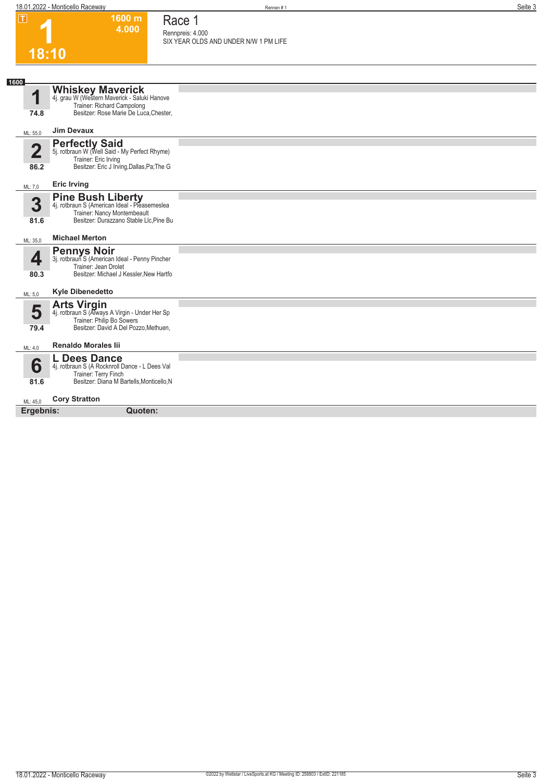**1600 m 4.000**  **Race 1**

|                                 | 4.000                                                                                                                                               | Race I<br>Rennpreis: 4.000            |
|---------------------------------|-----------------------------------------------------------------------------------------------------------------------------------------------------|---------------------------------------|
|                                 |                                                                                                                                                     | SIX YEAR OLDS AND UNDER N/W 1 PM LIFE |
| 18:10                           |                                                                                                                                                     |                                       |
|                                 |                                                                                                                                                     |                                       |
| 1600<br>1                       | <b>Whiskey Maverick</b><br>4j. grau W (Western Maverick - Saluki Hanove<br>Trainer: Richard Campolong                                               |                                       |
| 74.8                            | Besitzer: Rose Marie De Luca, Chester,                                                                                                              |                                       |
| ML: 55,0                        | <b>Jim Devaux</b>                                                                                                                                   |                                       |
| $\overline{\mathbf{2}}$<br>86.2 | <b>Perfectly Said</b><br>5j. rotbraun W (Well Said - My Perfect Rhyme)<br>Trainer: Eric Irving<br>Besitzer: Eric J Irving, Dallas, Pa; The G        |                                       |
| ML: 7,0                         | <b>Eric Irving</b>                                                                                                                                  |                                       |
| 3<br>81.6                       | <b>Pine Bush Liberty</b><br>4j. rotbraun S (American Ideal - Pleasemeslea<br>Trainer: Nancy Montembeault<br>Besitzer: Durazzano Stable Llc, Pine Bu |                                       |
| ML: 35,0                        | <b>Michael Merton</b>                                                                                                                               |                                       |
| 4<br>80.3                       | <b>Pennys Noir</b><br>3j. rotbraun S (American Ideal - Penny Pincher<br>Trainer: Jean Drolet<br>Besitzer: Michael J Kessler, New Hartfo             |                                       |
| ML: 5,0                         | <b>Kyle Dibenedetto</b>                                                                                                                             |                                       |
| 5<br>79.4                       | <b>Arts Virgin</b><br>4j. rotbraun S (Always A Virgin - Under Her Sp<br>Trainer: Philip Bo Sowers<br>Besitzer: David A Del Pozzo, Methuen,          |                                       |
| ML: 4,0                         | <b>Renaldo Morales lii</b>                                                                                                                          |                                       |
| 6                               | <b>L Dees Dance</b><br>4j. rotbraun S (A Rocknroll Dance - L Dees Val<br>Trainer: Terry Finch                                                       |                                       |
| 81.6                            | Besitzer: Diana M Bartells, Monticello, N                                                                                                           |                                       |
| ML: 45,0                        | <b>Cory Stratton</b>                                                                                                                                |                                       |
| Ergebnis:                       | Quoten:                                                                                                                                             |                                       |
|                                 |                                                                                                                                                     |                                       |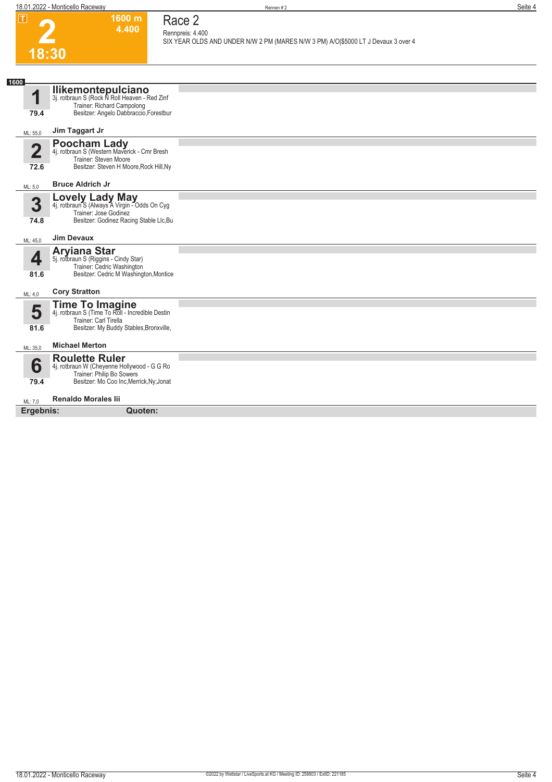**1600 m 4.400**  **Race 2**

**2** 

| 18:30<br>1600<br><b>Ilikemontepulciano</b><br>3j. rotbraun S (Rock N Roll Heaven - Red Zinf<br>и<br>Trainer: Richard Campolong<br>Besitzer: Angelo Dabbraccio, Forestbur<br>79.4<br>Jim Taggart Jr<br>ML: 55,0<br><b>Poocham Lady</b><br>4j. rotbraun S (Western Maverick - Cmr Bresh<br>$\overline{\mathbf{2}}$<br>Trainer: Steven Moore<br>Besitzer: Steven H Moore, Rock Hill, Ny<br>72.6<br><b>Bruce Aldrich Jr</b><br>ML: 5,0<br><b>Lovely Lady May</b><br>4j. rotbraun S (Always A Virgin - Odds On Cyg<br>3<br>Trainer: Jose Godinez<br>Besitzer: Godinez Racing Stable Llc, Bu<br>74.8<br><b>Jim Devaux</b><br>ML: 45,0<br><b>Aryiana Star</b><br>5j. rotbraun S (Riggins - Cindy Star)<br>4<br>Trainer: Cedric Washington<br>Besitzer: Cedric M Washington, Montice<br>81.6<br><b>Cory Stratton</b><br>ML: 4,0<br><b>Time To Imagine</b><br>4j. rotbraun S (Time To Roll - Incredible Destin<br>5<br>Trainer: Carl Tirella<br>Besitzer: My Buddy Stables, Bronxville,<br>81.6<br><b>Michael Merton</b><br>ML: 35,0<br><b>Roulette Ruler</b><br>6<br>4j. rotbraun W (Cheyenne Hollywood - G G Ro<br>Trainer: Philip Bo Sowers<br>Besitzer: Mo Coo Inc, Merrick, Ny; Jonat<br>79.4<br><b>Renaldo Morales lii</b><br>ML: 7,0<br>Ergebnis:<br>Quoten: |  | Rennpreis: 4.400<br>SIX YEAR OLDS AND UNDER N/W 2 PM (MARES N/W 3 PM) A/O \$5000 LT J Devaux 3 over 4 |
|------------------------------------------------------------------------------------------------------------------------------------------------------------------------------------------------------------------------------------------------------------------------------------------------------------------------------------------------------------------------------------------------------------------------------------------------------------------------------------------------------------------------------------------------------------------------------------------------------------------------------------------------------------------------------------------------------------------------------------------------------------------------------------------------------------------------------------------------------------------------------------------------------------------------------------------------------------------------------------------------------------------------------------------------------------------------------------------------------------------------------------------------------------------------------------------------------------------------------------------------------------|--|-------------------------------------------------------------------------------------------------------|
|                                                                                                                                                                                                                                                                                                                                                                                                                                                                                                                                                                                                                                                                                                                                                                                                                                                                                                                                                                                                                                                                                                                                                                                                                                                            |  |                                                                                                       |
|                                                                                                                                                                                                                                                                                                                                                                                                                                                                                                                                                                                                                                                                                                                                                                                                                                                                                                                                                                                                                                                                                                                                                                                                                                                            |  |                                                                                                       |
|                                                                                                                                                                                                                                                                                                                                                                                                                                                                                                                                                                                                                                                                                                                                                                                                                                                                                                                                                                                                                                                                                                                                                                                                                                                            |  |                                                                                                       |
|                                                                                                                                                                                                                                                                                                                                                                                                                                                                                                                                                                                                                                                                                                                                                                                                                                                                                                                                                                                                                                                                                                                                                                                                                                                            |  |                                                                                                       |
|                                                                                                                                                                                                                                                                                                                                                                                                                                                                                                                                                                                                                                                                                                                                                                                                                                                                                                                                                                                                                                                                                                                                                                                                                                                            |  |                                                                                                       |
|                                                                                                                                                                                                                                                                                                                                                                                                                                                                                                                                                                                                                                                                                                                                                                                                                                                                                                                                                                                                                                                                                                                                                                                                                                                            |  |                                                                                                       |
|                                                                                                                                                                                                                                                                                                                                                                                                                                                                                                                                                                                                                                                                                                                                                                                                                                                                                                                                                                                                                                                                                                                                                                                                                                                            |  |                                                                                                       |
|                                                                                                                                                                                                                                                                                                                                                                                                                                                                                                                                                                                                                                                                                                                                                                                                                                                                                                                                                                                                                                                                                                                                                                                                                                                            |  |                                                                                                       |
|                                                                                                                                                                                                                                                                                                                                                                                                                                                                                                                                                                                                                                                                                                                                                                                                                                                                                                                                                                                                                                                                                                                                                                                                                                                            |  |                                                                                                       |
|                                                                                                                                                                                                                                                                                                                                                                                                                                                                                                                                                                                                                                                                                                                                                                                                                                                                                                                                                                                                                                                                                                                                                                                                                                                            |  |                                                                                                       |
|                                                                                                                                                                                                                                                                                                                                                                                                                                                                                                                                                                                                                                                                                                                                                                                                                                                                                                                                                                                                                                                                                                                                                                                                                                                            |  |                                                                                                       |
|                                                                                                                                                                                                                                                                                                                                                                                                                                                                                                                                                                                                                                                                                                                                                                                                                                                                                                                                                                                                                                                                                                                                                                                                                                                            |  |                                                                                                       |
|                                                                                                                                                                                                                                                                                                                                                                                                                                                                                                                                                                                                                                                                                                                                                                                                                                                                                                                                                                                                                                                                                                                                                                                                                                                            |  |                                                                                                       |
|                                                                                                                                                                                                                                                                                                                                                                                                                                                                                                                                                                                                                                                                                                                                                                                                                                                                                                                                                                                                                                                                                                                                                                                                                                                            |  |                                                                                                       |
|                                                                                                                                                                                                                                                                                                                                                                                                                                                                                                                                                                                                                                                                                                                                                                                                                                                                                                                                                                                                                                                                                                                                                                                                                                                            |  |                                                                                                       |
|                                                                                                                                                                                                                                                                                                                                                                                                                                                                                                                                                                                                                                                                                                                                                                                                                                                                                                                                                                                                                                                                                                                                                                                                                                                            |  |                                                                                                       |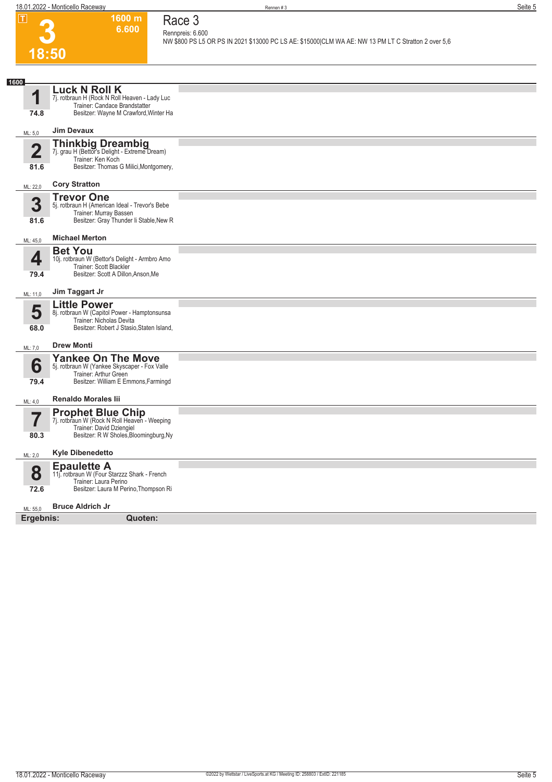**3**

**18:50**

## **1600 m 6.600 Race 3 Rennpreis: 6.600**

**NW \$800 PS L5 OR PS IN 2021 \$13000 PC LS AE: \$15000|CLM WA AE: NW 13 PM LT C Stratton 2 over 5,6** 

| 1600                    |                                                                                                                                            |  |
|-------------------------|--------------------------------------------------------------------------------------------------------------------------------------------|--|
| 1                       | <b>Luck N Roll K</b><br>7j. rotbraun H (Rock N Roll Heaven - Lady Luc                                                                      |  |
|                         | Trainer: Candace Brandstatter                                                                                                              |  |
| 74.8                    | Besitzer: Wayne M Crawford, Winter Ha                                                                                                      |  |
| ML: 5,0                 | <b>Jim Devaux</b>                                                                                                                          |  |
| $\overline{\mathbf{2}}$ | Thinkbig Dreambig<br>7j. grau H (Bettor's Delight - Extreme Dream)<br>Trainer: Ken Koch                                                    |  |
| 81.6                    | Besitzer: Thomas G Milici, Montgomery,                                                                                                     |  |
| ML: 22,0                | <b>Cory Stratton</b>                                                                                                                       |  |
| 3<br>81.6               | <b>Trevor One</b><br>5j. rotbraun H (American Ideal - Trevor's Bebe<br>Trainer: Murray Bassen<br>Besitzer: Gray Thunder Ii Stable, New R   |  |
|                         |                                                                                                                                            |  |
| ML: 45,0                | <b>Michael Merton</b>                                                                                                                      |  |
| 4                       | <b>Bet You</b><br>10j. rotbraun W (Bettor's Delight - Armbro Amo<br>Trainer: Scott Blackler                                                |  |
| 79.4                    | Besitzer: Scott A Dillon, Anson, Me                                                                                                        |  |
| ML: 11,0                | Jim Taggart Jr                                                                                                                             |  |
| 5                       | <b>Little Power</b><br>8j. rotbraun W (Capitol Power - Hamptonsunsa<br>Trainer: Nicholas Devita                                            |  |
| 68.0                    | Besitzer: Robert J Stasio, Staten Island,                                                                                                  |  |
| ML: 7,0                 | <b>Drew Monti</b>                                                                                                                          |  |
| 6<br>79.4               | <b>Yankee On The Move</b><br>5j. rotbraun W (Yankee Skyscaper - Fox Valle<br>Trainer: Arthur Green<br>Besitzer: William E Emmons, Farmingd |  |
| ML: 4,0                 | <b>Renaldo Morales lii</b>                                                                                                                 |  |
| $\overline{\mathbf{7}}$ | <b>Prophet Blue Chip</b><br>7j. rotbraun W (Rock N Roll Heaven - Weeping                                                                   |  |
| 80.3                    | Trainer: David Dziengiel<br>Besitzer: R W Sholes, Bloomingburg, Ny                                                                         |  |
| ML: 2,0                 | <b>Kyle Dibenedetto</b>                                                                                                                    |  |
| 8                       | <b>Epaulette A</b><br>11. rotbraun W (Four Starzzz Shark - French<br>Trainer: Laura Perino                                                 |  |
| 72.6                    | Besitzer: Laura M Perino, Thompson Ri                                                                                                      |  |
| ML: 55,0                | <b>Bruce Aldrich Jr</b>                                                                                                                    |  |
| Ergebnis:               | Quoten:                                                                                                                                    |  |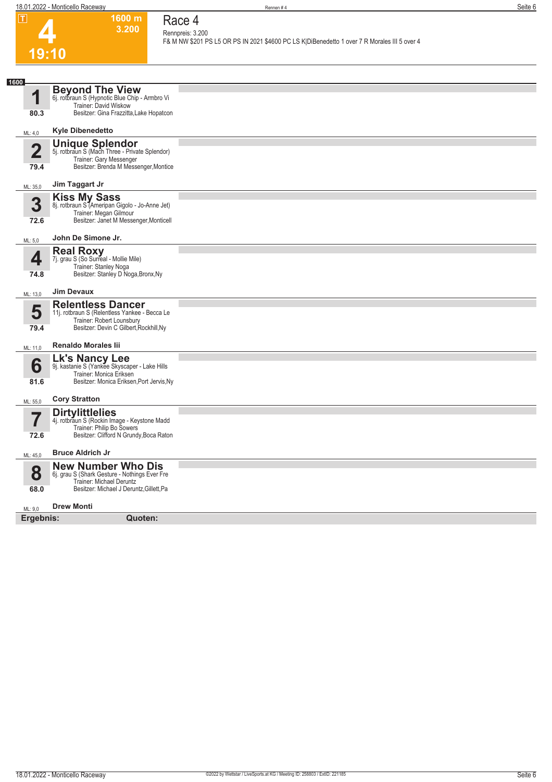

## **Race 4 Rennpreis: 3.200**

**1600 m 3.200** 

**F& M NW \$201 PS L5 OR PS IN 2021 \$4600 PC LS K|DiBenedetto 1 over 7 R Morales III 5 over 4** 

| 1600                   |                                                                                                                                                    |  |
|------------------------|----------------------------------------------------------------------------------------------------------------------------------------------------|--|
| И<br>80.3              | <b>Beyond The View</b><br>6j. rotbraun S (Hypnotic Blue Chip - Armbro Vi<br>Trainer: David Wiskow<br>Besitzer: Gina Frazzitta, Lake Hopatcon       |  |
|                        |                                                                                                                                                    |  |
| ML: 4,0                | <b>Kyle Dibenedetto</b>                                                                                                                            |  |
| $\overline{2}$<br>79.4 | <b>Unique Splendor</b><br>5j. rotbraun S (Mach Three - Private Splendor)<br>Trainer: Gary Messenger<br>Besitzer: Brenda M Messenger, Montice       |  |
| ML: 35,0               | Jim Taggart Jr                                                                                                                                     |  |
| 3<br>72.6              | Kiss My Sass<br>8j. rotbraun S (Ameripan Gigolo - Jo-Anne Jet)<br>Trainer: Megan Gilmour<br>Besitzer: Janet M Messenger, Monticell                 |  |
| ML: 5,0                | John De Simone Jr.                                                                                                                                 |  |
| 4<br>74.8              | <b>Real Roxy</b><br>7j. grau S (So Surreal - Mollie Mile)<br>Trainer: Stanley Noga<br>Besitzer: Stanley D Noga, Bronx, Ny                          |  |
| ML: 13,0               | <b>Jim Devaux</b>                                                                                                                                  |  |
| 5<br>79.4              | <b>Relentless Dancer</b><br>11j. rotbraun S (Relentless Yankee - Becca Le<br>Trainer: Robert Lounsbury<br>Besitzer: Devin C Gilbert, Rockhill, Ny  |  |
| ML: 11,0               | <b>Renaldo Morales lii</b>                                                                                                                         |  |
| 6<br>81.6              | Lk's Nancy Lee<br>9j. kastanie S (Yankee Skyscaper - Lake Hills<br>Trainer: Monica Eriksen<br>Besitzer: Monica Eriksen, Port Jervis, Ny            |  |
| ML: 55,0               | <b>Cory Stratton</b>                                                                                                                               |  |
| 72.6                   | <b>Dirtylittlelies</b><br>4j. rotbraun S (Rockin Image - Keystone Madd<br>Trainer: Philip Bo Sowers<br>Besitzer: Clifford N Grundy, Boca Raton     |  |
| ML: 45,0               | <b>Bruce Aldrich Jr</b>                                                                                                                            |  |
| 8<br>68.0              | <b>New Number Who Dis</b><br>6j. grau S (Shark Gesture - Nothings Ever Fre<br>Trainer: Michael Deruntz<br>Besitzer: Michael J Deruntz, Gillett, Pa |  |
| ML: 9,0                | <b>Drew Monti</b>                                                                                                                                  |  |
| Ergebnis:              | Quoten:                                                                                                                                            |  |
|                        |                                                                                                                                                    |  |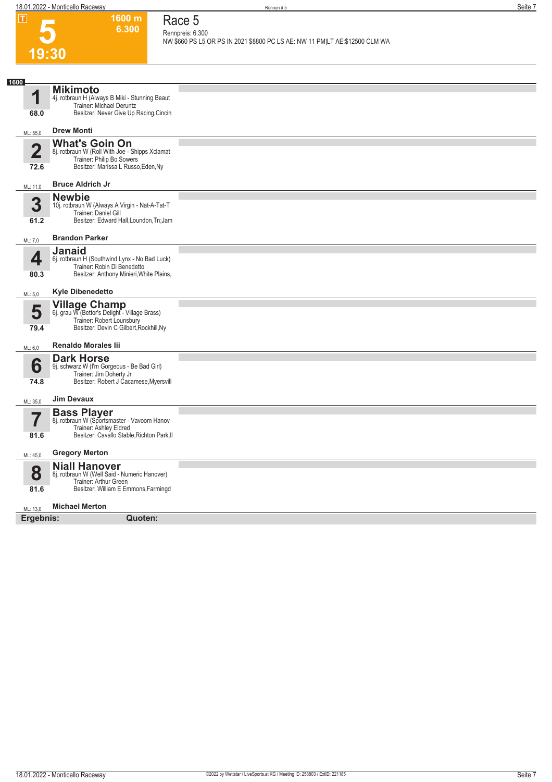**1600 m**

**Race 5**

|                         | 6.300                                                                      | Race 5                                                                                          |
|-------------------------|----------------------------------------------------------------------------|-------------------------------------------------------------------------------------------------|
|                         |                                                                            | Rennpreis: 6.300<br>NW \$660 PS L5 OR PS IN 2021 \$8800 PC LS AE: NW 11 PM LT AE:\$12500 CLM WA |
| 19:30                   |                                                                            |                                                                                                 |
|                         |                                                                            |                                                                                                 |
|                         |                                                                            |                                                                                                 |
| 1600                    | <b>Mikimoto</b>                                                            |                                                                                                 |
| 1                       | 4j. rotbraun H (Always B Miki - Stunning Beaut<br>Trainer: Michael Deruntz |                                                                                                 |
| 68.0                    | Besitzer: Never Give Up Racing, Cincin                                     |                                                                                                 |
|                         | <b>Drew Monti</b>                                                          |                                                                                                 |
| ML: 55,0                | <b>What's Goin On</b>                                                      |                                                                                                 |
| $\overline{\mathbf{2}}$ | 8j. rotbraun W (Roll With Joe - Shipps Xclamat                             |                                                                                                 |
| 72.6                    | Trainer: Philip Bo Sowers<br>Besitzer: Marissa L Russo, Eden, Ny           |                                                                                                 |
|                         | <b>Bruce Aldrich Jr</b>                                                    |                                                                                                 |
| ML: 11,0                | <b>Newbie</b>                                                              |                                                                                                 |
| 3                       | 10j. rotbraun W (Always A Virgin - Nat-A-Tat-T                             |                                                                                                 |
| 61.2                    | Trainer: Daniel Gill<br>Besitzer: Edward Hall, Loundon, Tn; Jam            |                                                                                                 |
|                         | <b>Brandon Parker</b>                                                      |                                                                                                 |
| ML: 7,0                 | <b>Janaid</b>                                                              |                                                                                                 |
| 4                       | 6j. rotbraun H (Southwind Lynx - No Bad Luck)                              |                                                                                                 |
| 80.3                    | Trainer: Robin Di Benedetto<br>Besitzer: Anthony Minieri, White Plains,    |                                                                                                 |
|                         |                                                                            |                                                                                                 |
| ML: 5,0                 | <b>Kyle Dibenedetto</b>                                                    |                                                                                                 |
| 5                       | <b>Village Champ</b><br>6j. grau W (Bettor's Delight - Village Brass)      |                                                                                                 |
|                         | Trainer: Robert Lounsbury                                                  |                                                                                                 |
| 79.4                    | Besitzer: Devin C Gilbert, Rockhill, Ny                                    |                                                                                                 |
| ML: 6,0                 | <b>Renaldo Morales lii</b>                                                 |                                                                                                 |
|                         | <b>Dark Horse</b>                                                          |                                                                                                 |
| 6                       | 9j. schwarz W (I'm Gorgeous - Be Bad Girl)<br>Trainer: Jim Doherty Jr      |                                                                                                 |
| 74.8                    | Besitzer: Robert J Cacamese, Myersvill                                     |                                                                                                 |
| ML: 35,0                | <b>Jim Devaux</b>                                                          |                                                                                                 |
|                         | <b>Bass Player</b>                                                         |                                                                                                 |
|                         | 8j. rotbraun W (Sportsmaster - Vavoom Hanov<br>Trainer: Ashley Eldred      |                                                                                                 |
| 81.6                    | Besitzer: Cavallo Stable, Richton Park, II                                 |                                                                                                 |
| ML: 45,0                | <b>Gregory Merton</b>                                                      |                                                                                                 |
|                         | <b>Niall Hanover</b>                                                       |                                                                                                 |
| 8                       | 8j. rotbraun W (Well Said - Numeric Hanover)<br>Trainer: Arthur Green      |                                                                                                 |
| 81.6                    | Besitzer: William E Emmons, Farmingd                                       |                                                                                                 |
| ML: 13,0                | <b>Michael Merton</b>                                                      |                                                                                                 |
| Ergebnis:               | Quoten:                                                                    |                                                                                                 |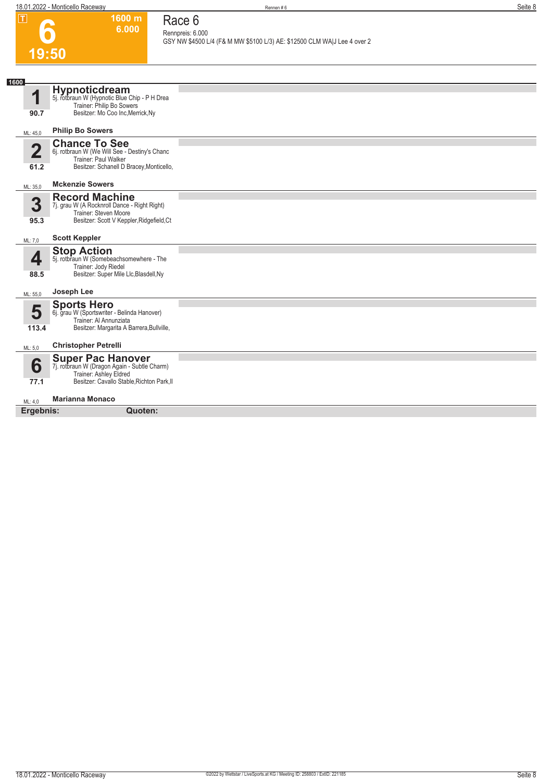**1600 m 6.000**  **Race 6**

| ப              | ווו טטט<br>6.000                                                         | Race o                                                                                       |
|----------------|--------------------------------------------------------------------------|----------------------------------------------------------------------------------------------|
|                |                                                                          | Rennpreis: 6.000<br>GSY NW \$4500 L/4 (F& M MW \$5100 L/3) AE: \$12500 CLM WA J Lee 4 over 2 |
|                |                                                                          |                                                                                              |
| 19:50          |                                                                          |                                                                                              |
|                |                                                                          |                                                                                              |
| 1600           |                                                                          |                                                                                              |
| и              | Hypnoticdream<br>5j. rotbraun W (Hypnotic Blue Chip - P H Drea           |                                                                                              |
|                | Trainer: Philip Bo Sowers                                                |                                                                                              |
| 90.7           | Besitzer: Mo Coo Inc, Merrick, Ny                                        |                                                                                              |
| ML: 45,0       | <b>Philip Bo Sowers</b>                                                  |                                                                                              |
|                | <b>Chance To See</b>                                                     |                                                                                              |
| $\overline{2}$ | 6j. rotbraun W (We Will See - Destiny's Chanc<br>Trainer: Paul Walker    |                                                                                              |
| 61.2           | Besitzer: Schanell D Bracey, Monticello,                                 |                                                                                              |
|                |                                                                          |                                                                                              |
| ML: 35,0       | <b>Mckenzie Sowers</b>                                                   |                                                                                              |
| 3              | <b>Record Machine</b><br>7j. grau W (A Rocknroll Dance - Right Right)    |                                                                                              |
|                | Trainer: Steven Moore                                                    |                                                                                              |
| 95.3           | Besitzer: Scott V Keppler, Ridgefield, Ct                                |                                                                                              |
| ML: 7,0        | <b>Scott Keppler</b>                                                     |                                                                                              |
|                | <b>Stop Action</b>                                                       |                                                                                              |
| 4              | 5j. rotbraun W (Somebeachsomewhere - The                                 |                                                                                              |
| 88.5           | Trainer: Jody Riedel<br>Besitzer: Super Mile Llc, Blasdell, Ny           |                                                                                              |
|                |                                                                          |                                                                                              |
| ML: 55,0       | Joseph Lee                                                               |                                                                                              |
|                | <b>Sports Hero</b>                                                       |                                                                                              |
| 5              | 6j. grau W (Sportswriter - Belinda Hanover)<br>Trainer: Al Annunziata    |                                                                                              |
| 113.4          | Besitzer: Margarita A Barrera, Bullville,                                |                                                                                              |
| ML: 5,0        | <b>Christopher Petrelli</b>                                              |                                                                                              |
|                | <b>Super Pac Hanover</b><br>7j. rotbraun W (Dragon Again - Subtle Charm) |                                                                                              |
| 6              |                                                                          |                                                                                              |
| 77.1           | Trainer: Ashley Eldred<br>Besitzer: Cavallo Stable, Richton Park, II     |                                                                                              |
|                | <b>Marianna Monaco</b>                                                   |                                                                                              |
| ML: 4,0        | Quoten:                                                                  |                                                                                              |
| Ergebnis:      |                                                                          |                                                                                              |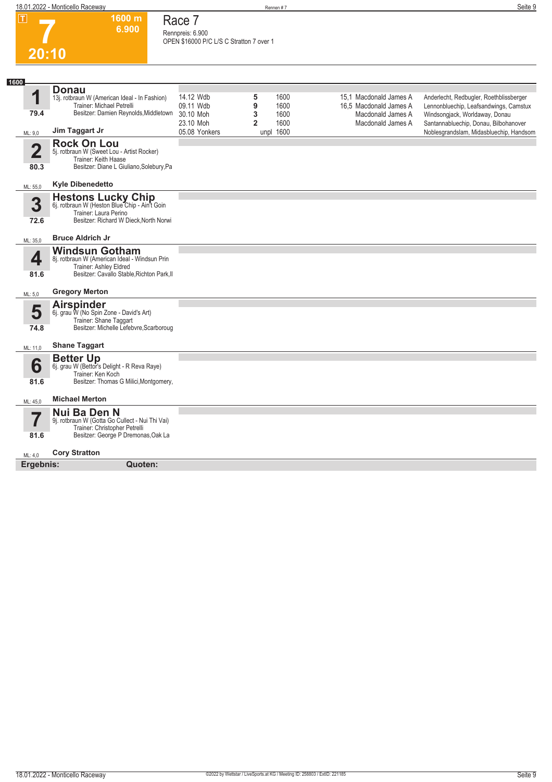**1600 m 6.900** 

| Race 7                                   |
|------------------------------------------|
| Rennpreis: 6.900                         |
| OPEN \$16000 P/C L/S C Stratton 7 over 1 |

**7 20:10**

| 1600           |                                                                                                                                                |                                         |                                  |              |                                                  |                                                                                                                    |
|----------------|------------------------------------------------------------------------------------------------------------------------------------------------|-----------------------------------------|----------------------------------|--------------|--------------------------------------------------|--------------------------------------------------------------------------------------------------------------------|
| 1              | <b>Donau</b><br>13j. rotbraun W (American Ideal - In Fashion)<br>Trainer: Michael Petrelli                                                     | 14.12 Wdb<br>09.11 Wdb                  | 5<br>9                           | 1600<br>1600 | 15.1 Macdonald James A<br>16.5 Macdonald James A | Anderlecht, Redbugler, Roethblissberger<br>Lennonbluechip, Leafsandwings, Camstux                                  |
| 79.4           | Besitzer: Damien Reynolds, Middletown<br>Jim Taggart Jr                                                                                        | 30.10 Moh<br>23.10 Moh<br>05.08 Yonkers | 3<br>$\overline{2}$<br>unpl 1600 | 1600<br>1600 | Macdonald James A<br>Macdonald James A           | Windsongjack, Worldaway, Donau<br>Santannabluechip, Donau, Bilbohanover<br>Noblesgrandslam, Midasbluechip, Handsom |
| ML: 9,0        |                                                                                                                                                |                                         |                                  |              |                                                  |                                                                                                                    |
| $\overline{2}$ | <b>Rock On Lou</b><br>5j. rotbraun W (Sweet Lou - Artist Rocker)<br>Trainer: Keith Haase                                                       |                                         |                                  |              |                                                  |                                                                                                                    |
| 80.3           | Besitzer: Diane L Giuliano, Solebury, Pa                                                                                                       |                                         |                                  |              |                                                  |                                                                                                                    |
| ML: 55.0       | <b>Kyle Dibenedetto</b>                                                                                                                        |                                         |                                  |              |                                                  |                                                                                                                    |
| 3<br>72.6      | Hestons Lucky Chip<br>6j. rotbraun W (Heston Blue Chip - Ain't Goin<br>Trainer: Laura Perino<br>Besitzer: Richard W Dieck, North Norwi         |                                         |                                  |              |                                                  |                                                                                                                    |
| ML: 35,0       | <b>Bruce Aldrich Jr</b>                                                                                                                        |                                         |                                  |              |                                                  |                                                                                                                    |
| 4<br>81.6      | <b>Windsun Gotham</b><br>8j. rotbraun W (American Ideal - Windsun Prin<br>Trainer: Ashley Eldred<br>Besitzer: Cavallo Stable, Richton Park, II |                                         |                                  |              |                                                  |                                                                                                                    |
| ML: 5,0        | <b>Gregory Merton</b>                                                                                                                          |                                         |                                  |              |                                                  |                                                                                                                    |
| 5<br>74.8      | <b>Airspinder</b><br>6j. grau W (No Spin Zone - David's Art)<br>Trainer: Shane Taggart<br>Besitzer: Michelle Lefebvre, Scarboroug              |                                         |                                  |              |                                                  |                                                                                                                    |
| ML: 11,0       | <b>Shane Taggart</b>                                                                                                                           |                                         |                                  |              |                                                  |                                                                                                                    |
| 6<br>81.6      | <b>Better Up</b><br>6j. grau W (Bettor's Delight - R Reva Raye)<br>Trainer: Ken Koch<br>Besitzer: Thomas G Milici, Montgomery,                 |                                         |                                  |              |                                                  |                                                                                                                    |
| ML: 45,0       | <b>Michael Merton</b>                                                                                                                          |                                         |                                  |              |                                                  |                                                                                                                    |
| 7              | Nui Ba Den N<br>9j. rotbraun W (Gotta Go Cullect - Nui Thi Vai)<br>Trainer: Christopher Petrelli                                               |                                         |                                  |              |                                                  |                                                                                                                    |
| 81.6           | Besitzer: George P Dremonas, Oak La                                                                                                            |                                         |                                  |              |                                                  |                                                                                                                    |
| ML: 4.0        | <b>Cory Stratton</b>                                                                                                                           |                                         |                                  |              |                                                  |                                                                                                                    |
| Ergebnis:      | Quoten:                                                                                                                                        |                                         |                                  |              |                                                  |                                                                                                                    |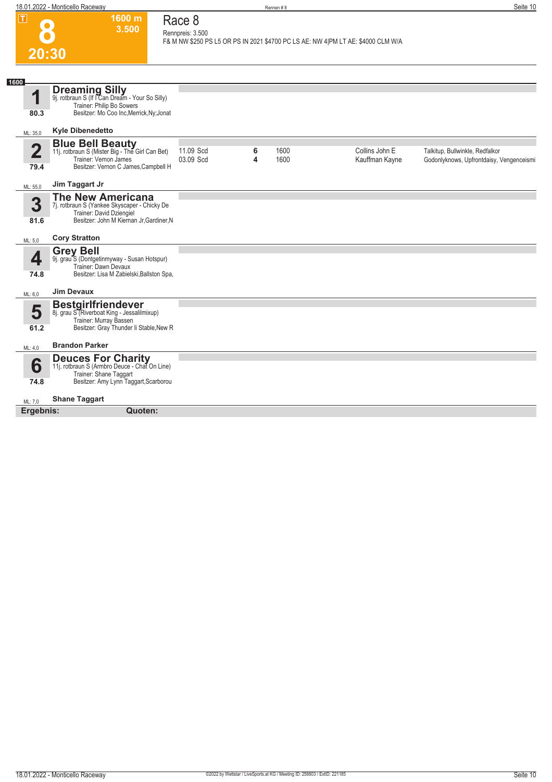| $\overline{r}$                  | 1600 m<br>3.500                                                                                                                                   | Race 8<br>Rennpreis: 3.500 |        |              |                                                                                  |                                                                             |
|---------------------------------|---------------------------------------------------------------------------------------------------------------------------------------------------|----------------------------|--------|--------------|----------------------------------------------------------------------------------|-----------------------------------------------------------------------------|
| 20:30                           |                                                                                                                                                   |                            |        |              | F& M NW \$250 PS L5 OR PS IN 2021 \$4700 PC LS AE: NW 4 PM LT AE: \$4000 CLM W/A |                                                                             |
| 1600                            |                                                                                                                                                   |                            |        |              |                                                                                  |                                                                             |
| 1<br>80.3                       | <b>Dreaming Silly</b><br>9j. rotbraun S (If I Can Dream - Your So Silly)<br>Trainer: Philip Bo Sowers<br>Besitzer: Mo Coo Inc, Merrick, Ny; Jonat |                            |        |              |                                                                                  |                                                                             |
| ML: 35,0                        | <b>Kyle Dibenedetto</b>                                                                                                                           |                            |        |              |                                                                                  |                                                                             |
| $\overline{\mathbf{2}}$<br>79.4 | <b>Blue Bell Beauty</b><br>11j. rotbraun S (Mister Big - The Girl Can Bet)<br>Trainer: Vernon James<br>Besitzer: Vernon C James, Campbell H       | 11.09 Scd<br>03.09 Scd     | 6<br>4 | 1600<br>1600 | Collins John E<br>Kauffman Kayne                                                 | Talkitup, Bullwinkle, Redfalkor<br>Godonlyknows, Upfrontdaisy, Vengenceismi |
| ML: 55,0                        | Jim Taggart Jr                                                                                                                                    |                            |        |              |                                                                                  |                                                                             |
| 3<br>81.6                       | <b>The New Americana</b><br>7j. rotbraun S (Yankee Skyscaper - Chicky De<br>Trainer: David Dziengiel<br>Besitzer: John M Kiernan Jr, Gardiner, N  |                            |        |              |                                                                                  |                                                                             |
| ML: 5,0                         | <b>Cory Stratton</b>                                                                                                                              |                            |        |              |                                                                                  |                                                                             |
| 4<br>74.8                       | <b>Grey Bell</b><br>9j. grau S (Dontgetinmyway - Susan Hotspur)<br>Trainer: Dawn Devaux<br>Besitzer: Lisa M Zabielski, Ballston Spa,              |                            |        |              |                                                                                  |                                                                             |
| ML: 6,0                         | <b>Jim Devaux</b>                                                                                                                                 |                            |        |              |                                                                                  |                                                                             |
| 5<br>61.2                       | <b>Bestgirlfriendever</b><br>8j. grau S (Riverboat King - Jessalilmixup)<br>Trainer: Murray Bassen<br>Besitzer: Gray Thunder Ii Stable, New R     |                            |        |              |                                                                                  |                                                                             |
| ML: 4,0                         | <b>Brandon Parker</b>                                                                                                                             |                            |        |              |                                                                                  |                                                                             |
| 6<br>74.8                       | <b>Deuces For Charity</b><br>11j. rotbraun S (Armbro Deuce - Chat On Line)<br>Trainer: Shane Taggart<br>Besitzer: Amy Lynn Taggart, Scarborou     |                            |        |              |                                                                                  |                                                                             |
| ML: 7,0                         | <b>Shane Taggart</b>                                                                                                                              |                            |        |              |                                                                                  |                                                                             |
| Ergebnis:                       | Quoten:                                                                                                                                           |                            |        |              |                                                                                  |                                                                             |